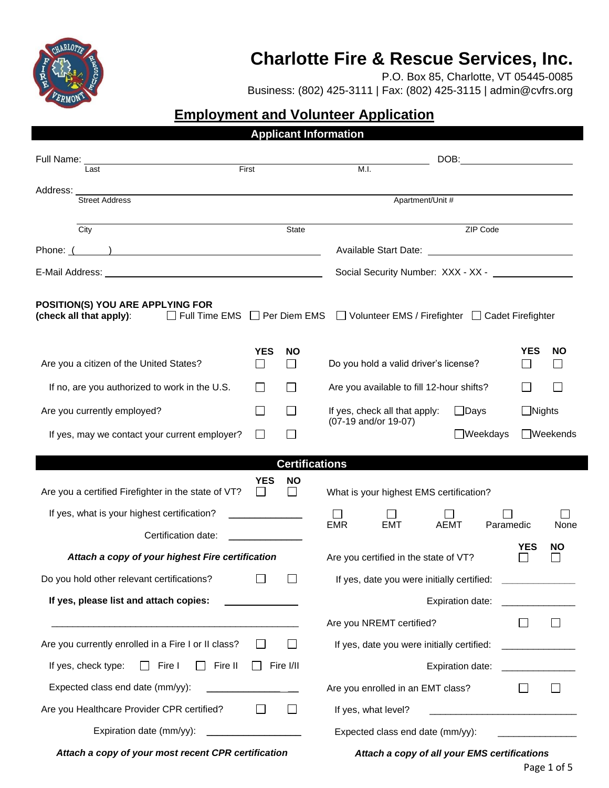

## **Charlotte Fire & Rescue Services, Inc.**

P.O. Box 85, Charlotte, VT 05445-0085

Business: (802) 425-3111 | Fax: (802) 425-3115 | admin@cvfrs.org

## **Employment and Volunteer Application**

|                                                                                                                                                 |                                         | <b>Applicant Information</b> |                                                     |                                                                                                                                                                                                                                        |  |                                 |                                         |                                                                                                                       |  |  |
|-------------------------------------------------------------------------------------------------------------------------------------------------|-----------------------------------------|------------------------------|-----------------------------------------------------|----------------------------------------------------------------------------------------------------------------------------------------------------------------------------------------------------------------------------------------|--|---------------------------------|-----------------------------------------|-----------------------------------------------------------------------------------------------------------------------|--|--|
| Full Name:<br>Last                                                                                                                              | First                                   |                              |                                                     | DOB: the contract of the contract of the contract of the contract of the contract of the contract of the contract of the contract of the contract of the contract of the contract of the contract of the contract of the contr<br>M.I. |  |                                 |                                         |                                                                                                                       |  |  |
| Street Address                                                                                                                                  |                                         |                              | Apartment/Unit #                                    |                                                                                                                                                                                                                                        |  |                                 |                                         |                                                                                                                       |  |  |
| $\overline{City}$                                                                                                                               |                                         | State                        |                                                     |                                                                                                                                                                                                                                        |  | ZIP Code                        |                                         |                                                                                                                       |  |  |
| Phone: ( )                                                                                                                                      |                                         |                              |                                                     |                                                                                                                                                                                                                                        |  |                                 |                                         |                                                                                                                       |  |  |
|                                                                                                                                                 |                                         |                              |                                                     | Social Security Number: XXX - XX - \[\]                                                                                                                                                                                                |  |                                 |                                         |                                                                                                                       |  |  |
| POSITION(S) YOU ARE APPLYING FOR<br>□ Full Time EMS □ Per Diem EMS □ Volunteer EMS / Firefighter □ Cadet Firefighter<br>(check all that apply): |                                         |                              |                                                     |                                                                                                                                                                                                                                        |  |                                 |                                         |                                                                                                                       |  |  |
| Are you a citizen of the United States?                                                                                                         | <b>YES</b>                              | <b>NO</b>                    | Do you hold a valid driver's license?               |                                                                                                                                                                                                                                        |  | ΙI                              | <b>YES</b><br><b>NO</b>                 |                                                                                                                       |  |  |
| If no, are you authorized to work in the U.S.                                                                                                   |                                         |                              | Are you available to fill 12-hour shifts?           |                                                                                                                                                                                                                                        |  |                                 |                                         |                                                                                                                       |  |  |
| Are you currently employed?                                                                                                                     |                                         |                              | If yes, check all that apply:<br>$\Box$ Days        |                                                                                                                                                                                                                                        |  |                                 |                                         | $\Box$ Nights                                                                                                         |  |  |
| If yes, may we contact your current employer?                                                                                                   |                                         |                              | (07-19 and/or 19-07)<br>$\Box$ Weekdays             |                                                                                                                                                                                                                                        |  |                                 | <b>□Weekends</b>                        |                                                                                                                       |  |  |
|                                                                                                                                                 |                                         | <b>Certifications</b>        |                                                     |                                                                                                                                                                                                                                        |  |                                 |                                         |                                                                                                                       |  |  |
| Are you a certified Firefighter in the state of VT?                                                                                             | YES                                     | <b>NO</b>                    |                                                     | What is your highest EMS certification?                                                                                                                                                                                                |  |                                 |                                         |                                                                                                                       |  |  |
| If yes, what is your highest certification?                                                                                                     |                                         |                              | $\mathsf{L}$                                        |                                                                                                                                                                                                                                        |  |                                 |                                         |                                                                                                                       |  |  |
| Certification date:                                                                                                                             |                                         |                              | <b>EMR</b>                                          | <b>EMT</b>                                                                                                                                                                                                                             |  | AEMT                            | Paramedic                               | None                                                                                                                  |  |  |
| Attach a copy of your highest Fire certification                                                                                                |                                         |                              | <b>YES</b><br>Are you certified in the state of VT? |                                                                                                                                                                                                                                        |  |                                 |                                         | NO.                                                                                                                   |  |  |
| Do you hold other relevant certifications?                                                                                                      |                                         |                              | If yes, date you were initially certified:          |                                                                                                                                                                                                                                        |  |                                 | <u> 1980 - Andrea Station Barbara (</u> |                                                                                                                       |  |  |
| If yes, please list and attach copies:                                                                                                          |                                         |                              |                                                     |                                                                                                                                                                                                                                        |  | Expiration date:                |                                         | <u> 1980 - Jan Barbara Barat, prima populație de la programa de la programa de la programa de la programa de la p</u> |  |  |
|                                                                                                                                                 |                                         |                              |                                                     | Are you NREMT certified?                                                                                                                                                                                                               |  |                                 |                                         |                                                                                                                       |  |  |
| Are you currently enrolled in a Fire I or II class?                                                                                             |                                         |                              | If yes, date you were initially certified:          |                                                                                                                                                                                                                                        |  |                                 |                                         | <u> 1990 - Jan Alexandria (</u>                                                                                       |  |  |
| If yes, check type:<br>$\Box$ Fire I<br>$\Box$ Fire II                                                                                          | $\Box$ Fire I/II                        |                              |                                                     |                                                                                                                                                                                                                                        |  | Expiration date: ______________ |                                         |                                                                                                                       |  |  |
| Expected class end date (mm/yy):                                                                                                                |                                         |                              | Are you enrolled in an EMT class?                   |                                                                                                                                                                                                                                        |  |                                 |                                         |                                                                                                                       |  |  |
| Are you Healthcare Provider CPR certified?                                                                                                      |                                         |                              |                                                     | If yes, what level?                                                                                                                                                                                                                    |  |                                 |                                         |                                                                                                                       |  |  |
| Expiration date (mm/yy):                                                                                                                        | <u> 1990 - Johann Barbara, martxa a</u> |                              |                                                     | Expected class end date (mm/yy):                                                                                                                                                                                                       |  |                                 |                                         |                                                                                                                       |  |  |
| Attach a copy of your most recent CPR certification                                                                                             |                                         |                              | Attach a copy of all your EMS certifications        |                                                                                                                                                                                                                                        |  |                                 |                                         |                                                                                                                       |  |  |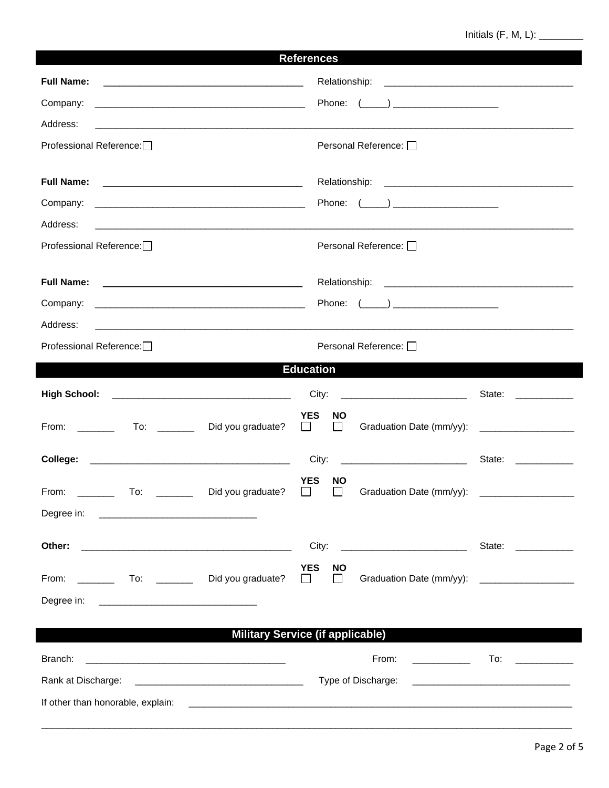## 

| <b>References</b>                                                                                                                          |                                                                                                                                            |  |  |  |  |  |  |
|--------------------------------------------------------------------------------------------------------------------------------------------|--------------------------------------------------------------------------------------------------------------------------------------------|--|--|--|--|--|--|
| <b>Full Name:</b><br><u> 1990 - Johann John Stone, markin fan it ferskearre fan it ferskearre fan it ferskearre fan it ferskearre fan </u> |                                                                                                                                            |  |  |  |  |  |  |
| Company:                                                                                                                                   |                                                                                                                                            |  |  |  |  |  |  |
| Address:                                                                                                                                   |                                                                                                                                            |  |  |  |  |  |  |
| Professional Reference:                                                                                                                    | Personal Reference: □                                                                                                                      |  |  |  |  |  |  |
|                                                                                                                                            |                                                                                                                                            |  |  |  |  |  |  |
|                                                                                                                                            | Phone: $(\_\_\_\_)$                                                                                                                        |  |  |  |  |  |  |
| Address:                                                                                                                                   | <u> 2000 - 2000 - 2000 - 2000 - 2000 - 2000 - 2000 - 2000 - 2000 - 2000 - 2000 - 2000 - 2000 - 2000 - 2000 - 200</u>                       |  |  |  |  |  |  |
| Professional Reference:                                                                                                                    | Personal Reference: □                                                                                                                      |  |  |  |  |  |  |
|                                                                                                                                            |                                                                                                                                            |  |  |  |  |  |  |
|                                                                                                                                            |                                                                                                                                            |  |  |  |  |  |  |
| Address:                                                                                                                                   | <u> 1989 - Johann Stoff, deutscher Stoff, der Stoff, der Stoff, der Stoff, der Stoff, der Stoff, der Stoff, der S</u>                      |  |  |  |  |  |  |
| Professional Reference:□                                                                                                                   | Personal Reference: □                                                                                                                      |  |  |  |  |  |  |
|                                                                                                                                            | <b>Education</b>                                                                                                                           |  |  |  |  |  |  |
|                                                                                                                                            | State: ___________                                                                                                                         |  |  |  |  |  |  |
|                                                                                                                                            | <b>YES</b><br><b>NO</b><br>$\Box$<br>Graduation Date (mm/yy): ______________________<br>$\Box$                                             |  |  |  |  |  |  |
| College:                                                                                                                                   | City:<br>State: ___________                                                                                                                |  |  |  |  |  |  |
| Did you graduate?<br>From:<br>To:                                                                                                          | <b>YES</b><br>NΟ<br>Graduation Date (mm/yy):                                                                                               |  |  |  |  |  |  |
|                                                                                                                                            |                                                                                                                                            |  |  |  |  |  |  |
| Other:<br><u> 1989 - Andrea State Barbara, amerikan bahasa perang di kecamatan di kecamatan di kecamatan di kecamatan di ke</u>            | State: <u>__________</u>                                                                                                                   |  |  |  |  |  |  |
|                                                                                                                                            | <b>YES</b><br><b>NO</b><br>Graduation Date (mm/yy): _____________________<br>$\mathbb{R}^n$<br>$\mathsf{L}$                                |  |  |  |  |  |  |
|                                                                                                                                            |                                                                                                                                            |  |  |  |  |  |  |
| <b>Military Service (if applicable)</b>                                                                                                    |                                                                                                                                            |  |  |  |  |  |  |
| Branch:<br><u> 1989 - Johann Barbara, martin amerikan basal dan berasal dan berasal dalam basal dan berasal dan berasal dan</u>            | From:<br><u> Albanya (Albanya)</u><br>To:  ______________                                                                                  |  |  |  |  |  |  |
|                                                                                                                                            | Type of Discharge:<br><u> 1990 - Johann Stein, marwolaethau a bhann an t-Amhain an t-Amhain an t-Amhain an t-Amhain an t-Amhain an t-A</u> |  |  |  |  |  |  |
|                                                                                                                                            |                                                                                                                                            |  |  |  |  |  |  |
|                                                                                                                                            |                                                                                                                                            |  |  |  |  |  |  |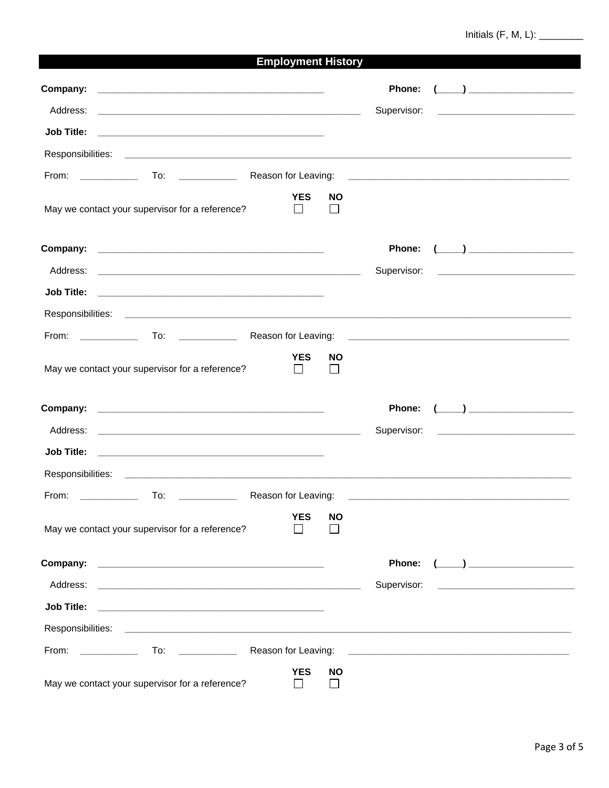| <b>Employment History</b>                                                                                                                                                                                                      |                            |                             |                                                                                                                |  |  |  |  |
|--------------------------------------------------------------------------------------------------------------------------------------------------------------------------------------------------------------------------------|----------------------------|-----------------------------|----------------------------------------------------------------------------------------------------------------|--|--|--|--|
|                                                                                                                                                                                                                                |                            |                             | Phone:<br>$\left(\begin{array}{c}\begin{array}{c}\begin{array}{c}\end{array}\\ \end{array}\right) \end{array}$ |  |  |  |  |
|                                                                                                                                                                                                                                |                            |                             | Supervisor:                                                                                                    |  |  |  |  |
|                                                                                                                                                                                                                                |                            |                             |                                                                                                                |  |  |  |  |
|                                                                                                                                                                                                                                |                            |                             |                                                                                                                |  |  |  |  |
|                                                                                                                                                                                                                                |                            |                             |                                                                                                                |  |  |  |  |
| May we contact your supervisor for a reference?                                                                                                                                                                                | <b>YES</b><br>$\Box$       | <b>NO</b>                   |                                                                                                                |  |  |  |  |
|                                                                                                                                                                                                                                |                            |                             | $\left(\begin{array}{c}\begin{array}{c}\begin{array}{c}\end{array}\\ \end{array}\right) \end{array}$<br>Phone: |  |  |  |  |
|                                                                                                                                                                                                                                |                            |                             |                                                                                                                |  |  |  |  |
| <b>Job Title:</b>                                                                                                                                                                                                              |                            |                             |                                                                                                                |  |  |  |  |
|                                                                                                                                                                                                                                |                            |                             |                                                                                                                |  |  |  |  |
|                                                                                                                                                                                                                                |                            |                             |                                                                                                                |  |  |  |  |
| May we contact your supervisor for a reference?                                                                                                                                                                                | <b>YES</b><br>$\Box$       | <b>NO</b>                   |                                                                                                                |  |  |  |  |
|                                                                                                                                                                                                                                |                            |                             | $\left(\begin{array}{c}\right. \end{array}$<br>Phone:                                                          |  |  |  |  |
| Address: the contract of the contract of the contract of the contract of the contract of the contract of the contract of the contract of the contract of the contract of the contract of the contract of the contract of the c |                            |                             |                                                                                                                |  |  |  |  |
|                                                                                                                                                                                                                                |                            |                             |                                                                                                                |  |  |  |  |
|                                                                                                                                                                                                                                |                            |                             |                                                                                                                |  |  |  |  |
| From:<br>To:                                                                                                                                                                                                                   | Reason for Leaving:        |                             |                                                                                                                |  |  |  |  |
| May we contact your supervisor for a reference?                                                                                                                                                                                | <b>YES</b>                 | <b>NO</b>                   |                                                                                                                |  |  |  |  |
|                                                                                                                                                                                                                                |                            |                             | Phone:                                                                                                         |  |  |  |  |
|                                                                                                                                                                                                                                |                            |                             | Supervisor:                                                                                                    |  |  |  |  |
| <b>Job Title:</b>                                                                                                                                                                                                              |                            |                             |                                                                                                                |  |  |  |  |
|                                                                                                                                                                                                                                |                            |                             |                                                                                                                |  |  |  |  |
|                                                                                                                                                                                                                                |                            |                             |                                                                                                                |  |  |  |  |
| May we contact your supervisor for a reference?                                                                                                                                                                                | <b>YES</b><br>$\mathsf{I}$ | <b>NO</b><br>$\blacksquare$ |                                                                                                                |  |  |  |  |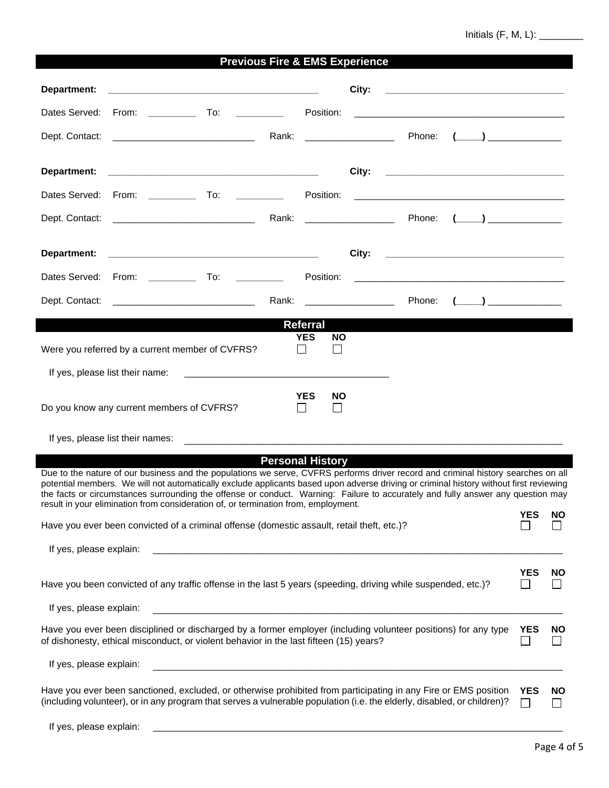Initials (F, M, L): \_\_\_\_\_\_\_\_

|                                                                                                                                                                                                          | <b>Previous Fire &amp; EMS Experience</b>                                                                                                                                                                                                                                                                                                                                                                                                                                                                                                                                                                                     |                                   |                            |  |                                                                                    |                            |                     |
|----------------------------------------------------------------------------------------------------------------------------------------------------------------------------------------------------------|-------------------------------------------------------------------------------------------------------------------------------------------------------------------------------------------------------------------------------------------------------------------------------------------------------------------------------------------------------------------------------------------------------------------------------------------------------------------------------------------------------------------------------------------------------------------------------------------------------------------------------|-----------------------------------|----------------------------|--|------------------------------------------------------------------------------------|----------------------------|---------------------|
| Department:                                                                                                                                                                                              |                                                                                                                                                                                                                                                                                                                                                                                                                                                                                                                                                                                                                               |                                   | City:                      |  | <u> 1989 - Johann Barbara, martin a</u>                                            |                            |                     |
|                                                                                                                                                                                                          | Dates Served: From: ________<br>To: __________                                                                                                                                                                                                                                                                                                                                                                                                                                                                                                                                                                                | Position:                         |                            |  | <u> 1980 - Johann Stein, mars an deus an deus Amerikaansk kommunister (* 1950)</u> |                            |                     |
|                                                                                                                                                                                                          |                                                                                                                                                                                                                                                                                                                                                                                                                                                                                                                                                                                                                               |                                   |                            |  | Phone: (_____) ________________                                                    |                            |                     |
| Department:                                                                                                                                                                                              |                                                                                                                                                                                                                                                                                                                                                                                                                                                                                                                                                                                                                               |                                   |                            |  |                                                                                    |                            |                     |
|                                                                                                                                                                                                          | Dates Served: From: _____________ To: __________                                                                                                                                                                                                                                                                                                                                                                                                                                                                                                                                                                              |                                   |                            |  |                                                                                    |                            |                     |
|                                                                                                                                                                                                          |                                                                                                                                                                                                                                                                                                                                                                                                                                                                                                                                                                                                                               |                                   | Rank: ___________________  |  | Phone: $(\_\_\_\_\_\_\_\_\_\_\_$                                                   |                            |                     |
| Department:                                                                                                                                                                                              |                                                                                                                                                                                                                                                                                                                                                                                                                                                                                                                                                                                                                               |                                   | City:                      |  |                                                                                    |                            |                     |
|                                                                                                                                                                                                          | Dates Served: From: To:                                                                                                                                                                                                                                                                                                                                                                                                                                                                                                                                                                                                       |                                   |                            |  |                                                                                    |                            |                     |
|                                                                                                                                                                                                          |                                                                                                                                                                                                                                                                                                                                                                                                                                                                                                                                                                                                                               |                                   | Rank: ____________________ |  | Phone: $(\_\_\_\_\_\_\_\_\_\_$                                                     |                            |                     |
|                                                                                                                                                                                                          |                                                                                                                                                                                                                                                                                                                                                                                                                                                                                                                                                                                                                               | <b>Referral</b>                   |                            |  |                                                                                    |                            |                     |
|                                                                                                                                                                                                          | Were you referred by a current member of CVFRS?<br>$\blacksquare$                                                                                                                                                                                                                                                                                                                                                                                                                                                                                                                                                             | <b>YES</b><br><b>NO</b>           |                            |  |                                                                                    |                            |                     |
|                                                                                                                                                                                                          | If yes, please list their name:                                                                                                                                                                                                                                                                                                                                                                                                                                                                                                                                                                                               |                                   |                            |  |                                                                                    |                            |                     |
|                                                                                                                                                                                                          | Do you know any current members of CVFRS?<br>$\blacksquare$                                                                                                                                                                                                                                                                                                                                                                                                                                                                                                                                                                   | <b>YES</b><br><b>NO</b><br>$\Box$ |                            |  |                                                                                    |                            |                     |
|                                                                                                                                                                                                          | If yes, please list their names:                                                                                                                                                                                                                                                                                                                                                                                                                                                                                                                                                                                              |                                   |                            |  |                                                                                    |                            |                     |
|                                                                                                                                                                                                          | <b>Personal History</b><br>Due to the nature of our business and the populations we serve, CVFRS performs driver record and criminal history searches on all<br>potential members. We will not automatically exclude applicants based upon adverse driving or criminal history without first reviewing<br>the facts or circumstances surrounding the offense or conduct. Warning: Failure to accurately and fully answer any question may<br>result in your elimination from consideration of, or termination from, employment.<br>Have you ever been convicted of a criminal offense (domestic assault, retail theft, etc.)? |                                   |                            |  |                                                                                    | YES                        | <b>NO</b>           |
| If yes, please explain:                                                                                                                                                                                  |                                                                                                                                                                                                                                                                                                                                                                                                                                                                                                                                                                                                                               |                                   |                            |  |                                                                                    |                            |                     |
|                                                                                                                                                                                                          | Have you been convicted of any traffic offense in the last 5 years (speeding, driving while suspended, etc.)?                                                                                                                                                                                                                                                                                                                                                                                                                                                                                                                 |                                   |                            |  |                                                                                    | <b>YES</b><br>$\mathsf{L}$ | <b>NO</b><br>$\Box$ |
| If yes, please explain:                                                                                                                                                                                  |                                                                                                                                                                                                                                                                                                                                                                                                                                                                                                                                                                                                                               |                                   |                            |  |                                                                                    |                            |                     |
| Have you ever been disciplined or discharged by a former employer (including volunteer positions) for any type<br>of dishonesty, ethical misconduct, or violent behavior in the last fifteen (15) years? |                                                                                                                                                                                                                                                                                                                                                                                                                                                                                                                                                                                                                               |                                   |                            |  |                                                                                    | <b>YES</b><br>$\Box$       | <b>NO</b><br>$\Box$ |
| If yes, please explain:                                                                                                                                                                                  |                                                                                                                                                                                                                                                                                                                                                                                                                                                                                                                                                                                                                               |                                   |                            |  |                                                                                    |                            |                     |
|                                                                                                                                                                                                          | Have you ever been sanctioned, excluded, or otherwise prohibited from participating in any Fire or EMS position<br>(including volunteer), or in any program that serves a vulnerable population (i.e. the elderly, disabled, or children)?                                                                                                                                                                                                                                                                                                                                                                                    |                                   |                            |  |                                                                                    | <b>YES</b>                 | <b>NO</b><br>$\Box$ |
| If yes, please explain:                                                                                                                                                                                  |                                                                                                                                                                                                                                                                                                                                                                                                                                                                                                                                                                                                                               |                                   |                            |  |                                                                                    |                            |                     |